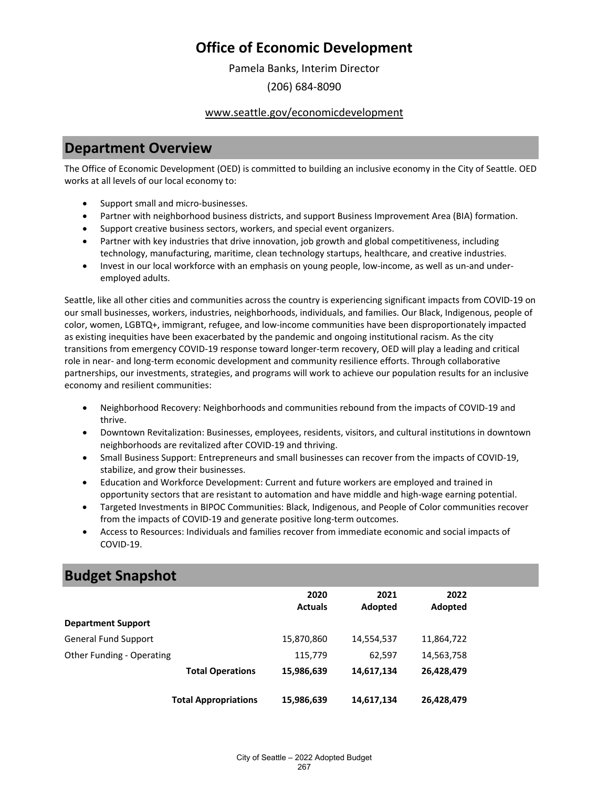Pamela Banks, Interim Director

(206) 684-8090

### www.seattle.gov/economicdevelopment

### **Department Overview**

The Office of Economic Development (OED) is committed to building an inclusive economy in the City of Seattle. OED works at all levels of our local economy to:

- Support small and micro-businesses.
- Partner with neighborhood business districts, and support Business Improvement Area (BIA) formation.
- Support creative business sectors, workers, and special event organizers.
- Partner with key industries that drive innovation, job growth and global competitiveness, including technology, manufacturing, maritime, clean technology startups, healthcare, and creative industries.
- Invest in our local workforce with an emphasis on young people, low-income, as well as un-and underemployed adults.

Seattle, like all other cities and communities across the country is experiencing significant impacts from COVID-19 on our small businesses, workers, industries, neighborhoods, individuals, and families. Our Black, Indigenous, people of color, women, LGBTQ+, immigrant, refugee, and low-income communities have been disproportionately impacted as existing inequities have been exacerbated by the pandemic and ongoing institutional racism. As the city transitions from emergency COVID-19 response toward longer-term recovery, OED will play a leading and critical role in near- and long-term economic development and community resilience efforts. Through collaborative partnerships, our investments, strategies, and programs will work to achieve our population results for an inclusive economy and resilient communities:

- Neighborhood Recovery: Neighborhoods and communities rebound from the impacts of COVID-19 and thrive.
- Downtown Revitalization: Businesses, employees, residents, visitors, and cultural institutions in downtown neighborhoods are revitalized after COVID-19 and thriving.
- Small Business Support: Entrepreneurs and small businesses can recover from the impacts of COVID-19, stabilize, and grow their businesses.
- Education and Workforce Development: Current and future workers are employed and trained in opportunity sectors that are resistant to automation and have middle and high-wage earning potential.
- Targeted Investments in BIPOC Communities: Black, Indigenous, and People of Color communities recover from the impacts of COVID-19 and generate positive long-term outcomes.
- Access to Resources: Individuals and families recover from immediate economic and social impacts of COVID-19.

### **Budget Snapshot**

|                             |                             | 2020<br><b>Actuals</b> | 2021<br>Adopted | 2022<br>Adopted |
|-----------------------------|-----------------------------|------------------------|-----------------|-----------------|
| <b>Department Support</b>   |                             |                        |                 |                 |
| <b>General Fund Support</b> |                             | 15,870,860             | 14,554,537      | 11,864,722      |
| Other Funding - Operating   |                             | 115,779                | 62,597          | 14,563,758      |
|                             | <b>Total Operations</b>     | 15,986,639             | 14,617,134      | 26,428,479      |
|                             | <b>Total Appropriations</b> | 15,986,639             | 14,617,134      | 26,428,479      |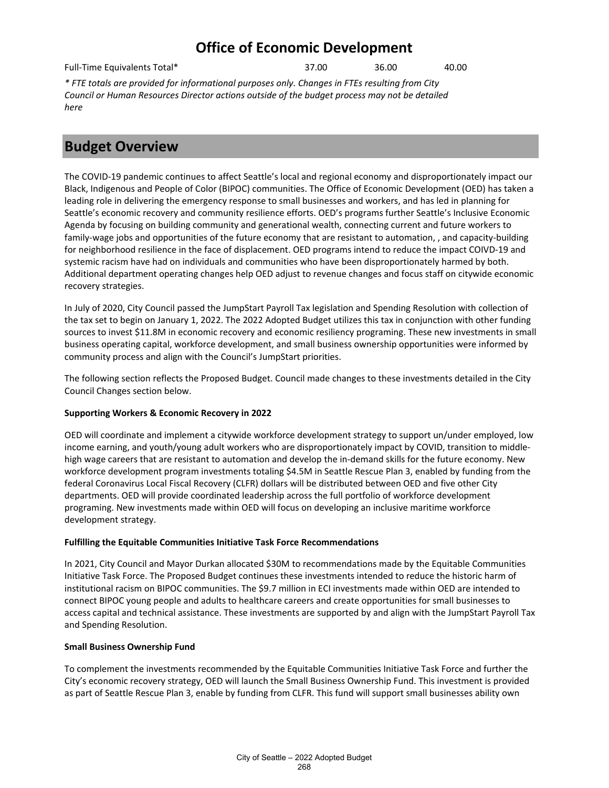Full-Time Equivalents Total\* 37.00 36.00 40.00

*\* FTE totals are provided for informational purposes only. Changes in FTEs resulting from City Council or Human Resources Director actions outside of the budget process may not be detailed here*

### **Budget Overview**

The COVID-19 pandemic continues to affect Seattle's local and regional economy and disproportionately impact our Black, Indigenous and People of Color (BIPOC) communities. The Office of Economic Development (OED) has taken a leading role in delivering the emergency response to small businesses and workers, and has led in planning for Seattle's economic recovery and community resilience efforts. OED's programs further Seattle's Inclusive Economic Agenda by focusing on building community and generational wealth, connecting current and future workers to family-wage jobs and opportunities of the future economy that are resistant to automation, , and capacity-building for neighborhood resilience in the face of displacement. OED programs intend to reduce the impact COIVD-19 and systemic racism have had on individuals and communities who have been disproportionately harmed by both. Additional department operating changes help OED adjust to revenue changes and focus staff on citywide economic recovery strategies.

In July of 2020, City Council passed the JumpStart Payroll Tax legislation and Spending Resolution with collection of the tax set to begin on January 1, 2022. The 2022 Adopted Budget utilizes this tax in conjunction with other funding sources to invest \$11.8M in economic recovery and economic resiliency programing. These new investments in small business operating capital, workforce development, and small business ownership opportunities were informed by community process and align with the Council's JumpStart priorities.

The following section reflects the Proposed Budget. Council made changes to these investments detailed in the City Council Changes section below.

### **Supporting Workers & Economic Recovery in 2022**

OED will coordinate and implement a citywide workforce development strategy to support un/under employed, low income earning, and youth/young adult workers who are disproportionately impact by COVID, transition to middlehigh wage careers that are resistant to automation and develop the in-demand skills for the future economy. New workforce development program investments totaling \$4.5M in Seattle Rescue Plan 3, enabled by funding from the federal Coronavirus Local Fiscal Recovery (CLFR) dollars will be distributed between OED and five other City departments. OED will provide coordinated leadership across the full portfolio of workforce development programing. New investments made within OED will focus on developing an inclusive maritime workforce development strategy.

### **Fulfilling the Equitable Communities Initiative Task Force Recommendations**

In 2021, City Council and Mayor Durkan allocated \$30M to recommendations made by the Equitable Communities Initiative Task Force. The Proposed Budget continues these investments intended to reduce the historic harm of institutional racism on BIPOC communities. The \$9.7 million in ECI investments made within OED are intended to connect BIPOC young people and adults to healthcare careers and create opportunities for small businesses to access capital and technical assistance. These investments are supported by and align with the JumpStart Payroll Tax and Spending Resolution.

### **Small Business Ownership Fund**

To complement the investments recommended by the Equitable Communities Initiative Task Force and further the City's economic recovery strategy, OED will launch the Small Business Ownership Fund. This investment is provided as part of Seattle Rescue Plan 3, enable by funding from CLFR. This fund will support small businesses ability own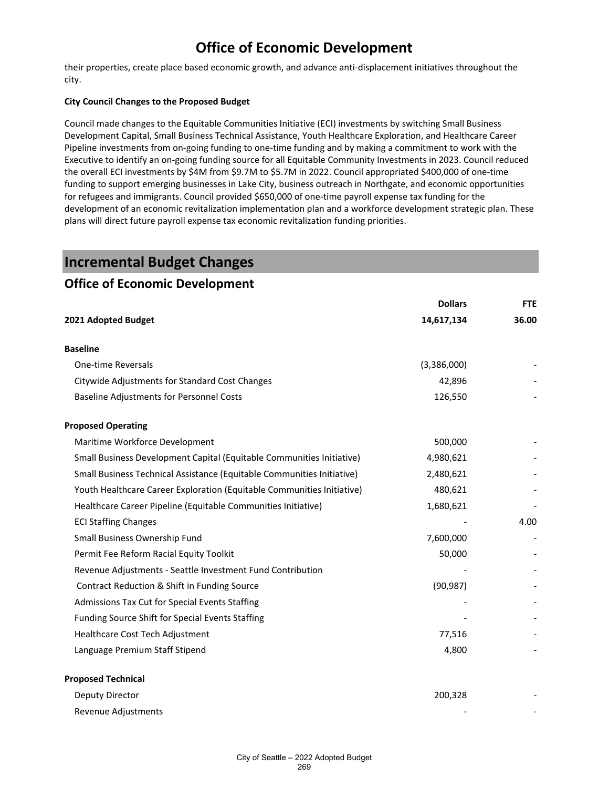their properties, create place based economic growth, and advance anti-displacement initiatives throughout the city.

#### **City Council Changes to the Proposed Budget**

Council made changes to the Equitable Communities Initiative (ECI) investments by switching Small Business Development Capital, Small Business Technical Assistance, Youth Healthcare Exploration, and Healthcare Career Pipeline investments from on-going funding to one-time funding and by making a commitment to work with the Executive to identify an on-going funding source for all Equitable Community Investments in 2023. Council reduced the overall ECI investments by \$4M from \$9.7M to \$5.7M in 2022. Council appropriated \$400,000 of one-time funding to support emerging businesses in Lake City, business outreach in Northgate, and economic opportunities for refugees and immigrants. Council provided \$650,000 of one-time payroll expense tax funding for the development of an economic revitalization implementation plan and a workforce development strategic plan. These plans will direct future payroll expense tax economic revitalization funding priorities.

### **Incremental Budget Changes**

### **Office of Economic Development**

|                                                                        | <b>Dollars</b> | <b>FTE</b> |
|------------------------------------------------------------------------|----------------|------------|
| 2021 Adopted Budget                                                    | 14,617,134     | 36.00      |
| <b>Baseline</b>                                                        |                |            |
| <b>One-time Reversals</b>                                              | (3,386,000)    |            |
| Citywide Adjustments for Standard Cost Changes                         | 42,896         |            |
| <b>Baseline Adjustments for Personnel Costs</b>                        | 126,550        |            |
| <b>Proposed Operating</b>                                              |                |            |
| Maritime Workforce Development                                         | 500,000        |            |
| Small Business Development Capital (Equitable Communities Initiative)  | 4,980,621      |            |
| Small Business Technical Assistance (Equitable Communities Initiative) | 2,480,621      |            |
| Youth Healthcare Career Exploration (Equitable Communities Initiative) | 480,621        |            |
| Healthcare Career Pipeline (Equitable Communities Initiative)          | 1,680,621      |            |
| <b>ECI Staffing Changes</b>                                            |                | 4.00       |
| Small Business Ownership Fund                                          | 7,600,000      |            |
| Permit Fee Reform Racial Equity Toolkit                                | 50,000         |            |
| Revenue Adjustments - Seattle Investment Fund Contribution             |                |            |
| Contract Reduction & Shift in Funding Source                           | (90, 987)      |            |
| Admissions Tax Cut for Special Events Staffing                         |                |            |
| Funding Source Shift for Special Events Staffing                       |                |            |
| Healthcare Cost Tech Adjustment                                        | 77,516         |            |
| Language Premium Staff Stipend                                         | 4,800          |            |
| <b>Proposed Technical</b>                                              |                |            |
| Deputy Director                                                        | 200,328        |            |
| Revenue Adjustments                                                    |                |            |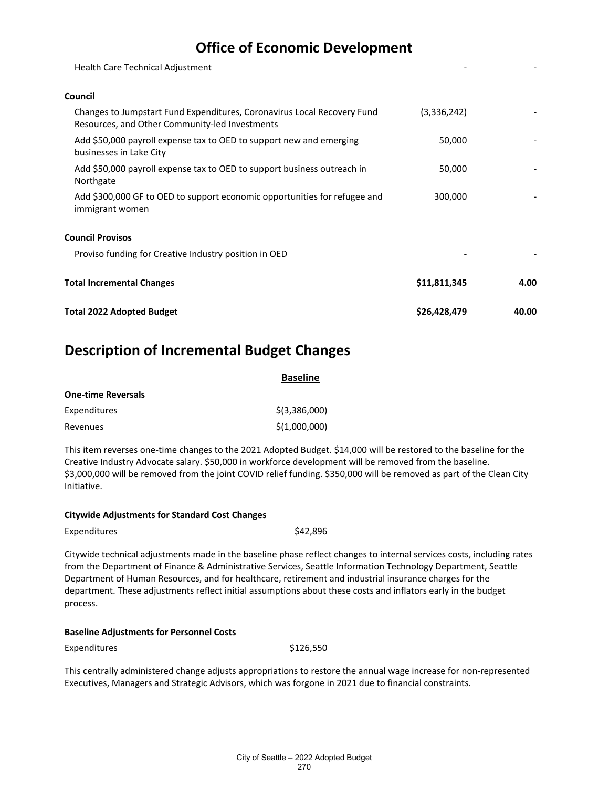| Total 2022 Adopted Budget                                                                                                 | \$26,428,479 | 40.00 |
|---------------------------------------------------------------------------------------------------------------------------|--------------|-------|
| <b>Total Incremental Changes</b>                                                                                          | \$11,811,345 | 4.00  |
| Proviso funding for Creative Industry position in OED                                                                     |              |       |
| <b>Council Provisos</b>                                                                                                   |              |       |
| Add \$300,000 GF to OED to support economic opportunities for refugee and<br>immigrant women                              | 300,000      |       |
| Add \$50,000 payroll expense tax to OED to support business outreach in<br>Northgate                                      | 50,000       |       |
| Add \$50,000 payroll expense tax to OED to support new and emerging<br>businesses in Lake City                            | 50,000       |       |
| Changes to Jumpstart Fund Expenditures, Coronavirus Local Recovery Fund<br>Resources, and Other Community-led Investments | (3,336,242)  |       |
| Council                                                                                                                   |              |       |
| Health Care Technical Adjustment                                                                                          |              |       |
|                                                                                                                           |              |       |

### **Description of Incremental Budget Changes**

|                           | <b>Baseline</b> |  |
|---------------------------|-----------------|--|
| <b>One-time Reversals</b> |                 |  |
| Expenditures              | $$$ (3,386,000) |  |
| Revenues                  | \$(1,000,000)   |  |

This item reverses one-time changes to the 2021 Adopted Budget. \$14,000 will be restored to the baseline for the Creative Industry Advocate salary. \$50,000 in workforce development will be removed from the baseline. \$3,000,000 will be removed from the joint COVID relief funding. \$350,000 will be removed as part of the Clean City Initiative.

| <b>Citywide Adjustments for Standard Cost Changes</b> |          |
|-------------------------------------------------------|----------|
| Expenditures                                          | \$42,896 |

Citywide technical adjustments made in the baseline phase reflect changes to internal services costs, including rates from the Department of Finance & Administrative Services, Seattle Information Technology Department, Seattle Department of Human Resources, and for healthcare, retirement and industrial insurance charges for the department. These adjustments reflect initial assumptions about these costs and inflators early in the budget process.

#### **Baseline Adjustments for Personnel Costs**

Expenditures \$126,550

This centrally administered change adjusts appropriations to restore the annual wage increase for non-represented Executives, Managers and Strategic Advisors, which was forgone in 2021 due to financial constraints.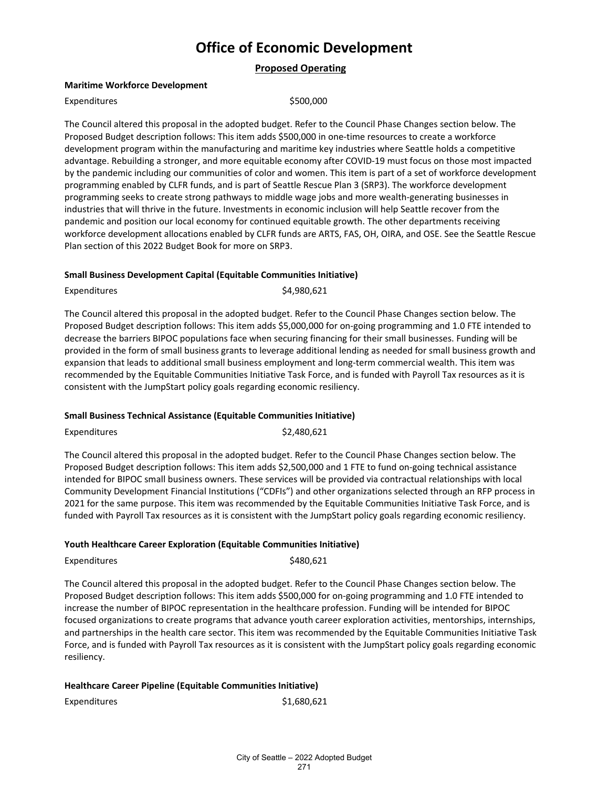**Proposed Operating**

#### **Maritime Workforce Development**

#### Expenditures \$500,000

The Council altered this proposal in the adopted budget. Refer to the Council Phase Changes section below. The Proposed Budget description follows: This item adds \$500,000 in one-time resources to create a workforce development program within the manufacturing and maritime key industries where Seattle holds a competitive advantage. Rebuilding a stronger, and more equitable economy after COVID-19 must focus on those most impacted by the pandemic including our communities of color and women. This item is part of a set of workforce development programming enabled by CLFR funds, and is part of Seattle Rescue Plan 3 (SRP3). The workforce development programming seeks to create strong pathways to middle wage jobs and more wealth-generating businesses in industries that will thrive in the future. Investments in economic inclusion will help Seattle recover from the pandemic and position our local economy for continued equitable growth. The other departments receiving workforce development allocations enabled by CLFR funds are ARTS, FAS, OH, OIRA, and OSE. See the Seattle Rescue Plan section of this 2022 Budget Book for more on SRP3.

#### **Small Business Development Capital (Equitable Communities Initiative)**

Expenditures \$4,980,621

The Council altered this proposal in the adopted budget. Refer to the Council Phase Changes section below. The Proposed Budget description follows: This item adds \$5,000,000 for on-going programming and 1.0 FTE intended to decrease the barriers BIPOC populations face when securing financing for their small businesses. Funding will be provided in the form of small business grants to leverage additional lending as needed for small business growth and expansion that leads to additional small business employment and long-term commercial wealth. This item was recommended by the Equitable Communities Initiative Task Force, and is funded with Payroll Tax resources as it is consistent with the JumpStart policy goals regarding economic resiliency.

#### **Small Business Technical Assistance (Equitable Communities Initiative)**

Expenditures \$2,480,621

The Council altered this proposal in the adopted budget. Refer to the Council Phase Changes section below. The Proposed Budget description follows: This item adds \$2,500,000 and 1 FTE to fund on-going technical assistance intended for BIPOC small business owners. These services will be provided via contractual relationships with local Community Development Financial Institutions ("CDFIs") and other organizations selected through an RFP process in 2021 for the same purpose. This item was recommended by the Equitable Communities Initiative Task Force, and is funded with Payroll Tax resources as it is consistent with the JumpStart policy goals regarding economic resiliency.

#### **Youth Healthcare Career Exploration (Equitable Communities Initiative)**

Expenditures \$480,621

The Council altered this proposal in the adopted budget. Refer to the Council Phase Changes section below. The Proposed Budget description follows: This item adds \$500,000 for on-going programming and 1.0 FTE intended to increase the number of BIPOC representation in the healthcare profession. Funding will be intended for BIPOC focused organizations to create programs that advance youth career exploration activities, mentorships, internships, and partnerships in the health care sector. This item was recommended by the Equitable Communities Initiative Task Force, and is funded with Payroll Tax resources as it is consistent with the JumpStart policy goals regarding economic resiliency.

#### **Healthcare Career Pipeline (Equitable Communities Initiative)**

Expenditures \$1,680,621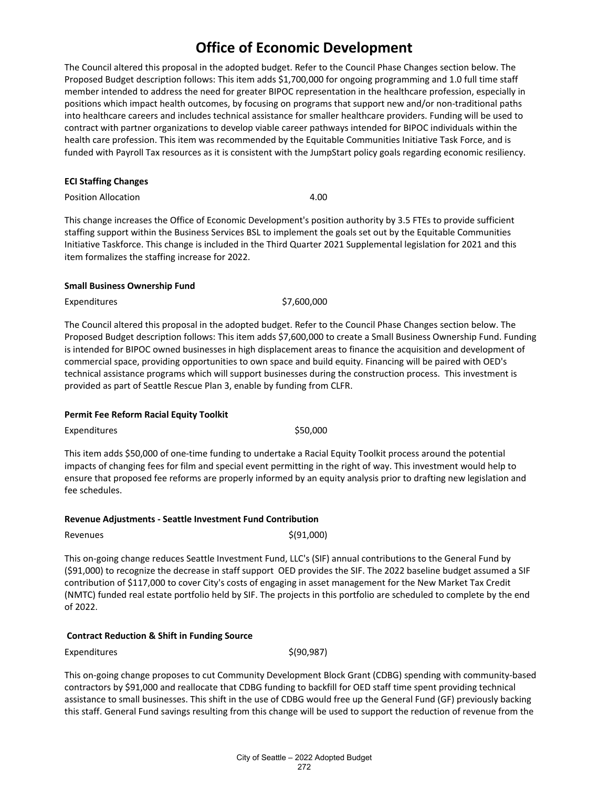The Council altered this proposal in the adopted budget. Refer to the Council Phase Changes section below. The Proposed Budget description follows: This item adds \$1,700,000 for ongoing programming and 1.0 full time staff member intended to address the need for greater BIPOC representation in the healthcare profession, especially in positions which impact health outcomes, by focusing on programs that support new and/or non-traditional paths into healthcare careers and includes technical assistance for smaller healthcare providers. Funding will be used to contract with partner organizations to develop viable career pathways intended for BIPOC individuals within the health care profession. This item was recommended by the Equitable Communities Initiative Task Force, and is funded with Payroll Tax resources as it is consistent with the JumpStart policy goals regarding economic resiliency.

#### **ECI Staffing Changes**

Position Allocation 4.00

This change increases the Office of Economic Development's position authority by 3.5 FTEs to provide sufficient staffing support within the Business Services BSL to implement the goals set out by the Equitable Communities Initiative Taskforce. This change is included in the Third Quarter 2021 Supplemental legislation for 2021 and this item formalizes the staffing increase for 2022.

#### **Small Business Ownership Fund**

Expenditures \$7,600,000

The Council altered this proposal in the adopted budget. Refer to the Council Phase Changes section below. The Proposed Budget description follows: This item adds \$7,600,000 to create a Small Business Ownership Fund. Funding is intended for BIPOC owned businesses in high displacement areas to finance the acquisition and development of commercial space, providing opportunities to own space and build equity. Financing will be paired with OED's technical assistance programs which will support businesses during the construction process. This investment is provided as part of Seattle Rescue Plan 3, enable by funding from CLFR.

#### **Permit Fee Reform Racial Equity Toolkit**

Expenditures \$50,000

This item adds \$50,000 of one-time funding to undertake a Racial Equity Toolkit process around the potential impacts of changing fees for film and special event permitting in the right of way. This investment would help to ensure that proposed fee reforms are properly informed by an equity analysis prior to drafting new legislation and fee schedules.

#### **Revenue Adjustments - Seattle Investment Fund Contribution**

 $\text{Revennes}$   $\text{\S}(91,000)$ 

This on-going change reduces Seattle Investment Fund, LLC's (SIF) annual contributions to the General Fund by (\$91,000) to recognize the decrease in staff support OED provides the SIF. The 2022 baseline budget assumed a SIF contribution of \$117,000 to cover City's costs of engaging in asset management for the New Market Tax Credit (NMTC) funded real estate portfolio held by SIF. The projects in this portfolio are scheduled to complete by the end of 2022.

#### **Contract Reduction & Shift in Funding Source**

 $Expenditures$   $\zeta(90,987)$ 

This on-going change proposes to cut Community Development Block Grant (CDBG) spending with community-based contractors by \$91,000 and reallocate that CDBG funding to backfill for OED staff time spent providing technical assistance to small businesses. This shift in the use of CDBG would free up the General Fund (GF) previously backing this staff. General Fund savings resulting from this change will be used to support the reduction of revenue from the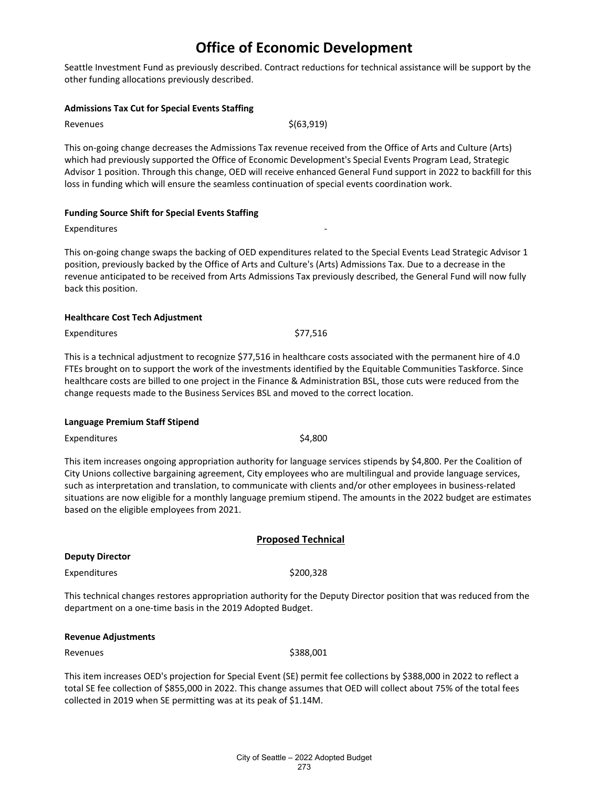Seattle Investment Fund as previously described. Contract reductions for technical assistance will be support by the other funding allocations previously described.

#### **Admissions Tax Cut for Special Events Staffing**

Revenues  $\zeta(63,919)$ 

This on-going change decreases the Admissions Tax revenue received from the Office of Arts and Culture (Arts) which had previously supported the Office of Economic Development's Special Events Program Lead, Strategic Advisor 1 position. Through this change, OED will receive enhanced General Fund support in 2022 to backfill for this loss in funding which will ensure the seamless continuation of special events coordination work.

#### **Funding Source Shift for Special Events Staffing**

Expenditures

This on-going change swaps the backing of OED expenditures related to the Special Events Lead Strategic Advisor 1 position, previously backed by the Office of Arts and Culture's (Arts) Admissions Tax. Due to a decrease in the revenue anticipated to be received from Arts Admissions Tax previously described, the General Fund will now fully back this position.

#### **Healthcare Cost Tech Adjustment**

Expenditures \$77,516

This is a technical adjustment to recognize \$77,516 in healthcare costs associated with the permanent hire of 4.0 FTEs brought on to support the work of the investments identified by the Equitable Communities Taskforce. Since healthcare costs are billed to one project in the Finance & Administration BSL, those cuts were reduced from the change requests made to the Business Services BSL and moved to the correct location.

#### **Language Premium Staff Stipend**

Expenditures \$4,800

This item increases ongoing appropriation authority for language services stipends by \$4,800. Per the Coalition of City Unions collective bargaining agreement, City employees who are multilingual and provide language services, such as interpretation and translation, to communicate with clients and/or other employees in business-related situations are now eligible for a monthly language premium stipend. The amounts in the 2022 budget are estimates based on the eligible employees from 2021.

#### **Proposed Technical**

**Deputy Director**

Expenditures \$200,328

This technical changes restores appropriation authority for the Deputy Director position that was reduced from the department on a one-time basis in the 2019 Adopted Budget.

#### **Revenue Adjustments**

Revenues \$388,001

This item increases OED's projection for Special Event (SE) permit fee collections by \$388,000 in 2022 to reflect a total SE fee collection of \$855,000 in 2022. This change assumes that OED will collect about 75% of the total fees collected in 2019 when SE permitting was at its peak of \$1.14M.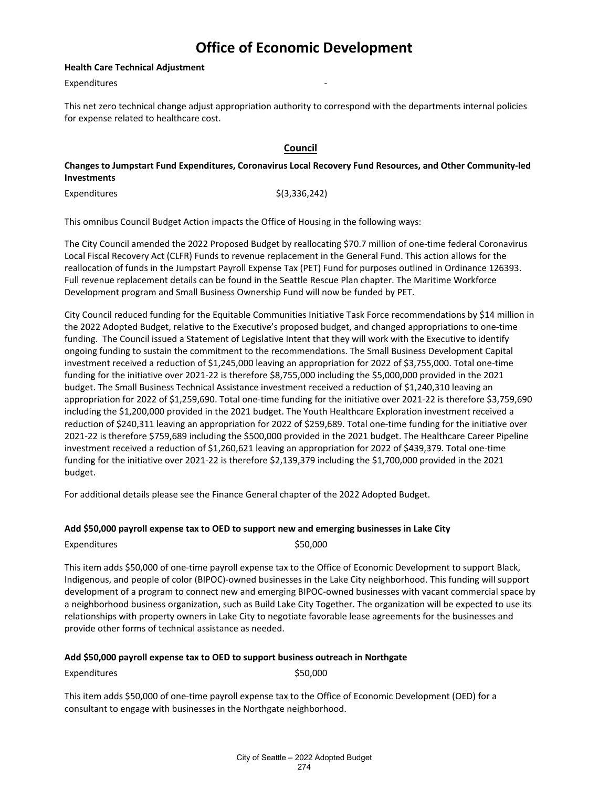#### **Health Care Technical Adjustment**

**Expenditures** 

This net zero technical change adjust appropriation authority to correspond with the departments internal policies for expense related to healthcare cost.

### **Council**

**Changes to Jumpstart Fund Expenditures, Coronavirus Local Recovery Fund Resources, and Other Community-led Investments**

 $Expenditures$   $\frac{\zeta(3,336,242)}{}$ 

This omnibus Council Budget Action impacts the Office of Housing in the following ways:

The City Council amended the 2022 Proposed Budget by reallocating \$70.7 million of one-time federal Coronavirus Local Fiscal Recovery Act (CLFR) Funds to revenue replacement in the General Fund. This action allows for the reallocation of funds in the Jumpstart Payroll Expense Tax (PET) Fund for purposes outlined in Ordinance 126393. Full revenue replacement details can be found in the Seattle Rescue Plan chapter. The Maritime Workforce Development program and Small Business Ownership Fund will now be funded by PET.

City Council reduced funding for the Equitable Communities Initiative Task Force recommendations by \$14 million in the 2022 Adopted Budget, relative to the Executive's proposed budget, and changed appropriations to one-time funding.  The Council issued a Statement of Legislative Intent that they will work with the Executive to identify ongoing funding to sustain the commitment to the recommendations. The Small Business Development Capital investment received a reduction of \$1,245,000 leaving an appropriation for 2022 of \$3,755,000. Total one-time funding for the initiative over 2021-22 is therefore \$8,755,000 including the \$5,000,000 provided in the 2021 budget. The Small Business Technical Assistance investment received a reduction of \$1,240,310 leaving an appropriation for 2022 of \$1,259,690. Total one-time funding for the initiative over 2021-22 is therefore \$3,759,690 including the \$1,200,000 provided in the 2021 budget. The Youth Healthcare Exploration investment received a reduction of \$240,311 leaving an appropriation for 2022 of \$259,689. Total one-time funding for the initiative over 2021-22 is therefore \$759,689 including the \$500,000 provided in the 2021 budget. The Healthcare Career Pipeline investment received a reduction of \$1,260,621 leaving an appropriation for 2022 of \$439,379. Total one-time funding for the initiative over 2021-22 is therefore \$2,139,379 including the \$1,700,000 provided in the 2021 budget.

For additional details please see the Finance General chapter of the 2022 Adopted Budget.

#### **Add \$50,000 payroll expense tax to OED to support new and emerging businesses in Lake City**

Expenditures \$50,000

This item adds \$50,000 of one-time payroll expense tax to the Office of Economic Development to support Black, Indigenous, and people of color (BIPOC)-owned businesses in the Lake City neighborhood. This funding will support development of a program to connect new and emerging BIPOC-owned businesses with vacant commercial space by a neighborhood business organization, such as Build Lake City Together. The organization will be expected to use its relationships with property owners in Lake City to negotiate favorable lease agreements for the businesses and provide other forms of technical assistance as needed.

#### **Add \$50,000 payroll expense tax to OED to support business outreach in Northgate**

Expenditures \$50,000

This item adds \$50,000 of one-time payroll expense tax to the Office of Economic Development (OED) for a consultant to engage with businesses in the Northgate neighborhood.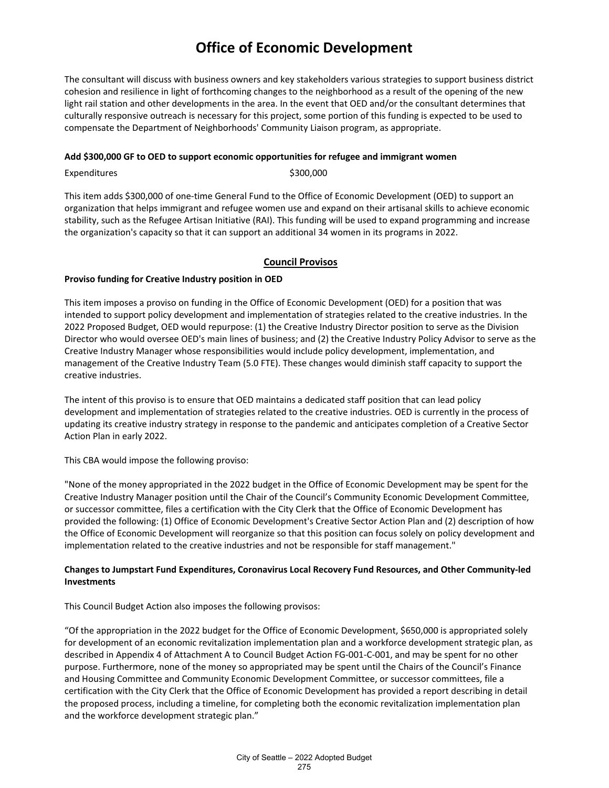The consultant will discuss with business owners and key stakeholders various strategies to support business district cohesion and resilience in light of forthcoming changes to the neighborhood as a result of the opening of the new light rail station and other developments in the area. In the event that OED and/or the consultant determines that culturally responsive outreach is necessary for this project, some portion of this funding is expected to be used to compensate the Department of Neighborhoods' Community Liaison program, as appropriate.

#### **Add \$300,000 GF to OED to support economic opportunities for refugee and immigrant women**

Expenditures \$300,000

This item adds \$300,000 of one-time General Fund to the Office of Economic Development (OED) to support an organization that helps immigrant and refugee women use and expand on their artisanal skills to achieve economic stability, such as the Refugee Artisan Initiative (RAI). This funding will be used to expand programming and increase the organization's capacity so that it can support an additional 34 women in its programs in 2022.

#### **Council Provisos**

#### **Proviso funding for Creative Industry position in OED**

This item imposes a proviso on funding in the Office of Economic Development (OED) for a position that was intended to support policy development and implementation of strategies related to the creative industries. In the 2022 Proposed Budget, OED would repurpose: (1) the Creative Industry Director position to serve as the Division Director who would oversee OED's main lines of business; and (2) the Creative Industry Policy Advisor to serve as the Creative Industry Manager whose responsibilities would include policy development, implementation, and management of the Creative Industry Team (5.0 FTE). These changes would diminish staff capacity to support the creative industries.

The intent of this proviso is to ensure that OED maintains a dedicated staff position that can lead policy development and implementation of strategies related to the creative industries. OED is currently in the process of updating its creative industry strategy in response to the pandemic and anticipates completion of a Creative Sector Action Plan in early 2022.

This CBA would impose the following proviso:

"None of the money appropriated in the 2022 budget in the Office of Economic Development may be spent for the Creative Industry Manager position until the Chair of the Council's Community Economic Development Committee, or successor committee, files a certification with the City Clerk that the Office of Economic Development has provided the following: (1) Office of Economic Development's Creative Sector Action Plan and (2) description of how the Office of Economic Development will reorganize so that this position can focus solely on policy development and implementation related to the creative industries and not be responsible for staff management."

#### **Changes to Jumpstart Fund Expenditures, Coronavirus Local Recovery Fund Resources, and Other Community-led Investments**

This Council Budget Action also imposes the following provisos:

"Of the appropriation in the 2022 budget for the Office of Economic Development, \$650,000 is appropriated solely for development of an economic revitalization implementation plan and a workforce development strategic plan, as described in Appendix 4 of Attachment A to Council Budget Action FG-001-C-001, and may be spent for no other purpose. Furthermore, none of the money so appropriated may be spent until the Chairs of the Council's Finance and Housing Committee and Community Economic Development Committee, or successor committees, file a certification with the City Clerk that the Office of Economic Development has provided a report describing in detail the proposed process, including a timeline, for completing both the economic revitalization implementation plan and the workforce development strategic plan."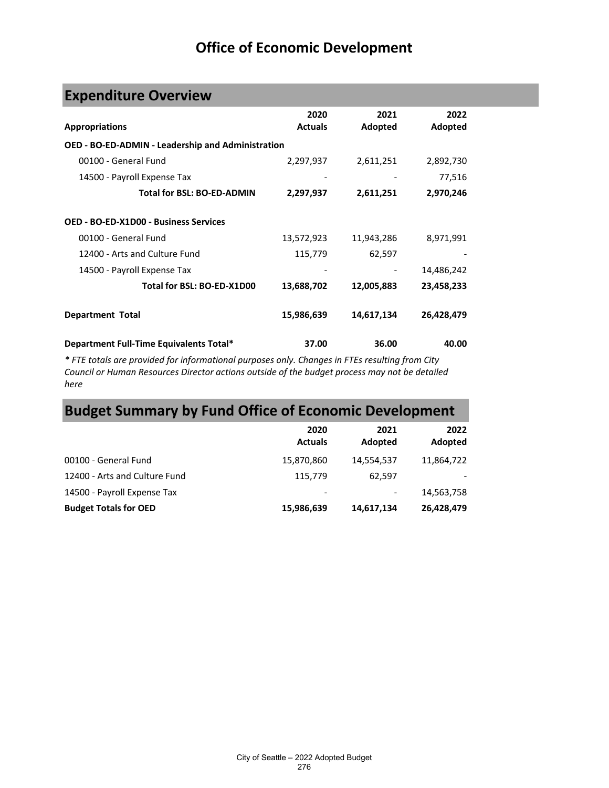# **Expenditure Overview**

| <b>Appropriations</b>                                    | 2020<br><b>Actuals</b> | 2021<br>Adopted | 2022<br>Adopted |
|----------------------------------------------------------|------------------------|-----------------|-----------------|
| <b>OED - BO-ED-ADMIN - Leadership and Administration</b> |                        |                 |                 |
| 00100 - General Fund                                     | 2,297,937              | 2,611,251       | 2,892,730       |
| 14500 - Payroll Expense Tax                              |                        |                 | 77,516          |
| <b>Total for BSL: BO-ED-ADMIN</b>                        | 2,297,937              | 2,611,251       | 2,970,246       |
| <b>OED - BO-ED-X1D00 - Business Services</b>             |                        |                 |                 |
| 00100 - General Fund                                     | 13,572,923             | 11,943,286      | 8,971,991       |
| 12400 - Arts and Culture Fund                            | 115,779                | 62,597          |                 |
| 14500 - Payroll Expense Tax                              |                        |                 | 14,486,242      |
| Total for BSL: BO-ED-X1D00                               | 13,688,702             | 12,005,883      | 23,458,233      |
| <b>Department Total</b>                                  | 15,986,639             | 14,617,134      | 26,428,479      |
| Department Full-Time Equivalents Total*                  | 37.00                  | 36.00           | 40.00           |

*\* FTE totals are provided for informational purposes only. Changes in FTEs resulting from City Council or Human Resources Director actions outside of the budget process may not be detailed here*

# **Budget Summary by Fund Office of Economic Development**

|                               | 2020<br><b>Actuals</b>   | 2021<br>Adopted | 2022<br>Adopted |
|-------------------------------|--------------------------|-----------------|-----------------|
| 00100 - General Fund          | 15,870,860               | 14,554,537      | 11,864,722      |
| 12400 - Arts and Culture Fund | 115.779                  | 62.597          |                 |
| 14500 - Payroll Expense Tax   | $\overline{\phantom{a}}$ | ۰               | 14,563,758      |
| <b>Budget Totals for OED</b>  | 15,986,639               | 14,617,134      | 26,428,479      |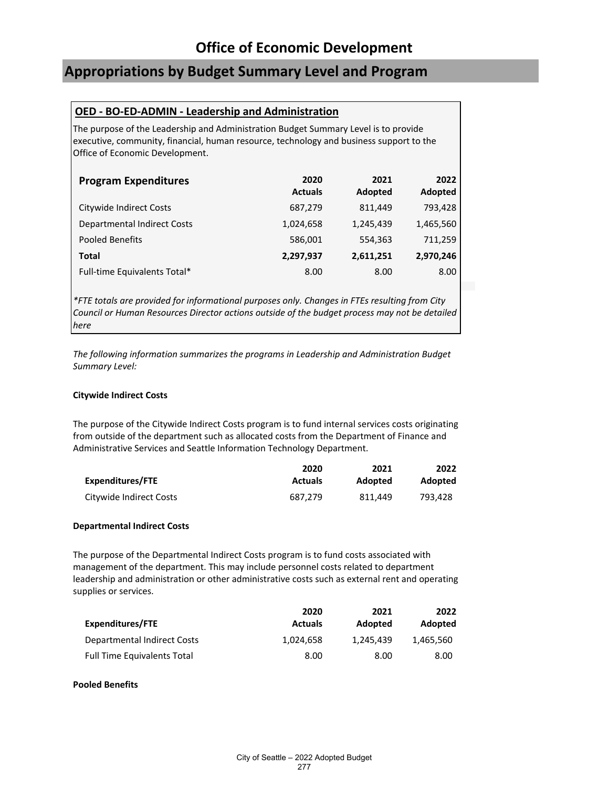### **Appropriations by Budget Summary Level and Program**

### **OED - BO-ED-ADMIN - Leadership and Administration**

The purpose of the Leadership and Administration Budget Summary Level is to provide executive, community, financial, human resource, technology and business support to the Office of Economic Development.

| <b>Program Expenditures</b>        | 2020<br><b>Actuals</b> | 2021<br>Adopted | 2022<br>Adopted |
|------------------------------------|------------------------|-----------------|-----------------|
| Citywide Indirect Costs            | 687,279                | 811.449         | 793,428         |
| <b>Departmental Indirect Costs</b> | 1,024,658              | 1,245,439       | 1,465,560       |
| <b>Pooled Benefits</b>             | 586,001                | 554,363         | 711,259         |
| <b>Total</b>                       | 2,297,937              | 2,611,251       | 2,970,246       |
| Full-time Equivalents Total*       | 8.00                   | 8.00            | 8.00            |

*\*FTE totals are provided for informational purposes only. Changes in FTEs resulting from City Council or Human Resources Director actions outside of the budget process may not be detailed here*

*The following information summarizes the programs in Leadership and Administration Budget Summary Level:*

#### **Citywide Indirect Costs**

The purpose of the Citywide Indirect Costs program is to fund internal services costs originating from outside of the department such as allocated costs from the Department of Finance and Administrative Services and Seattle Information Technology Department.

|                         | 2020           | 2021    | 2022    |
|-------------------------|----------------|---------|---------|
| Expenditures/FTE        | <b>Actuals</b> | Adopted | Adopted |
| Citywide Indirect Costs | 687.279        | 811.449 | 793.428 |

#### **Departmental Indirect Costs**

The purpose of the Departmental Indirect Costs program is to fund costs associated with management of the department. This may include personnel costs related to department leadership and administration or other administrative costs such as external rent and operating supplies or services.

|                                    | 2020           | 2021      | 2022      |
|------------------------------------|----------------|-----------|-----------|
| Expenditures/FTE                   | <b>Actuals</b> | Adopted   | Adopted   |
| Departmental Indirect Costs        | 1.024.658      | 1.245.439 | 1.465.560 |
| <b>Full Time Equivalents Total</b> | 8.00           | 8.00      | 8.00      |

#### **Pooled Benefits**